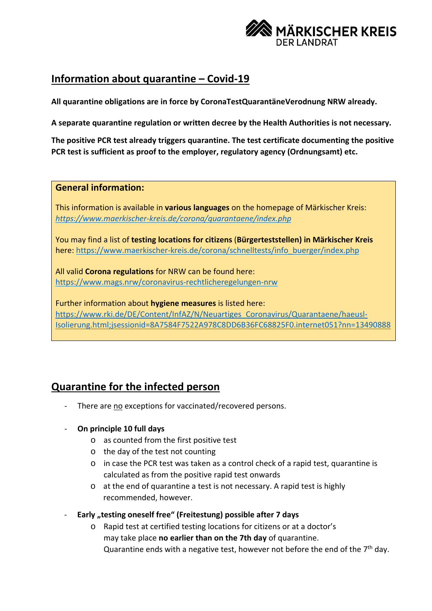

# **Information about quarantine – Covid-19**

**All quarantine obligations are in force by CoronaTestQuarantäneVerodnung NRW already.**

**A separate quarantine regulation or written decree by the Health Authorities is not necessary.** 

**The positive PCR test already triggers quarantine. The test certificate documenting the positive PCR test is sufficient as proof to the employer, regulatory agency (Ordnungsamt) etc.**

### **General information:**

This information is available in **various languages** on the homepage of Märkischer Kreis: *<https://www.maerkischer-kreis.de/corona/quarantaene/index.php>*

You may find a list of **testing locations for citizens** (**Bürgerteststellen) in Märkischer Kreis** here: [https://www.maerkischer-kreis.de/corona/schnelltests/info\\_buerger/index.php](https://www.maerkischer-kreis.de/corona/schnelltests/info_buerger/index.php)

All valid **Corona regulations** for NRW can be found here: <https://www.mags.nrw/coronavirus-rechtlicheregelungen-nrw>

Further information about **hygiene measures** is listed here: [https://www.rki.de/DE/Content/InfAZ/N/Neuartiges\\_Coronavirus/Quarantaene/haeusl-](https://www.rki.de/DE/Content/InfAZ/N/Neuartiges_Coronavirus/Quarantaene/haeusl-Isolierung.html;jsessionid=8A7584F7522A978C8DD6B36FC68825F0.internet051?nn=13490888)[Isolierung.html;jsessionid=8A7584F7522A978C8DD6B36FC68825F0.internet051?nn=13490888](https://www.rki.de/DE/Content/InfAZ/N/Neuartiges_Coronavirus/Quarantaene/haeusl-Isolierung.html;jsessionid=8A7584F7522A978C8DD6B36FC68825F0.internet051?nn=13490888)

# **Quarantine for the infected person**

There are no exceptions for vaccinated/recovered persons.

### - **On principle 10 full days**

- o as counted from the first positive test
- o the day of the test not counting
- o in case the PCR test was taken as a control check of a rapid test, quarantine is calculated as from the positive rapid test onwards
- o at the end of quarantine a test is not necessary. A rapid test is highly recommended, however.
- **Early "testing oneself free" (Freitestung) possible after 7 days**
	- o Rapid test at certified testing locations for citizens or at a doctor's may take place **no earlier than on the 7th day** of quarantine. Quarantine ends with a negative test, however not before the end of the  $7<sup>th</sup>$  day.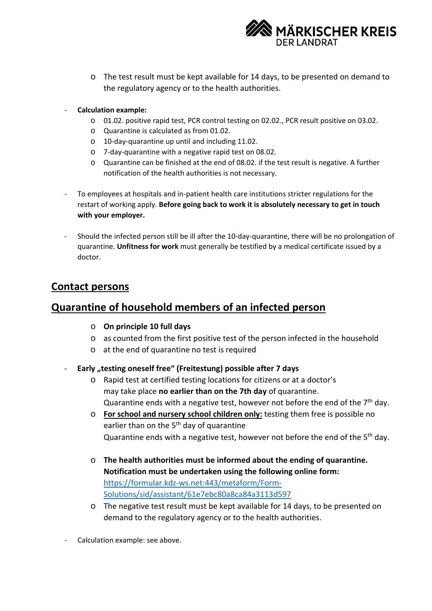

- o The test result must be kept available for 14 days, to be presented on demand to the regulatory agency or to the health authorities.
- **Calculation example:**
	- o 01.02. positive rapid test, PCR control testing on 02.02., PCR result positive on 03.02.
	- o Quarantine is calculated as from 01.02.
	- o 10-day-quarantine up until and including 11.02.
	- o 7-day-quarantine with a negative rapid test on 08.02.
	- o Quarantine can be finished at the end of 08.02. if the test result is negative. A further notification of the health authorities is not necessary.
- To employees at hospitals and in-patient health care institutions stricter regulations for the restart of working apply. **Before going back to work it is absolutely necessary to get in touch with your employer.**
- Should the infected person still be ill after the 10-day-quarantine, there will be no prolongation of quarantine. **Unfitness for work** must generally be testified by a medical certificate issued by a doctor.

## **Contact persons**

## **Quarantine of household members of an infected person**

- o **On principle 10 full days**
- o as counted from the first positive test of the person infected in the household
- o at the end of quarantine no test is required
- **Early "testing oneself free" (Freitestung) possible after 7 days**
	- o Rapid test at certified testing locations for citizens or at a doctor's may take place **no earlier than on the 7th day** of quarantine. Quarantine ends with a negative test, however not before the end of the  $7<sup>th</sup>$  day.
	- o **For school and nursery school children only:** testing them free is possible no earlier than on the 5<sup>th</sup> day of quarantine Quarantine ends with a negative test, however not before the end of the 5<sup>th</sup> day.
	- o **The health authorities must be informed about the ending of quarantine. Notification must be undertaken using the following online form:** [https://formular.kdz-ws.net:443/metaform/Form-](https://formular.kdz-ws.net/metaform/Form-Solutions/sid/assistant/61e7ebc80a8ca84a3113d597)[Solutions/sid/assistant/61e7ebc80a8ca84a3113d597](https://formular.kdz-ws.net/metaform/Form-Solutions/sid/assistant/61e7ebc80a8ca84a3113d597)
	- o The negative test result must be kept available for 14 days, to be presented on demand to the regulatory agency or to the health authorities.
- Calculation example: see above.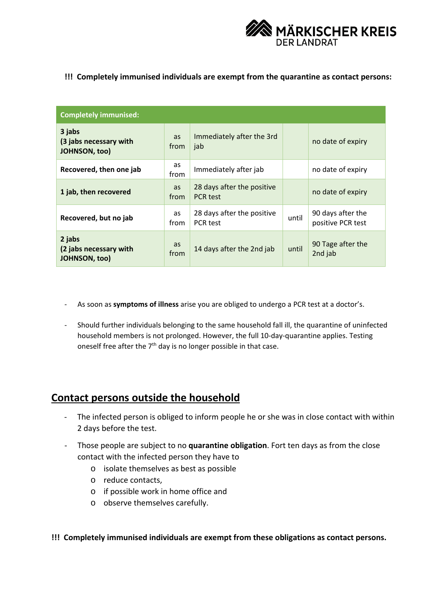

#### **!!! Completely immunised individuals are exempt from the quarantine as contact persons:**

| <b>Completely immunised:</b>                             |            |                                               |       |                                        |
|----------------------------------------------------------|------------|-----------------------------------------------|-------|----------------------------------------|
| 3 jabs<br>(3 jabs necessary with<br><b>JOHNSON, too)</b> | as<br>from | Immediately after the 3rd<br>jab              |       | no date of expiry                      |
| Recovered, then one jab                                  | as<br>from | Immediately after jab                         |       | no date of expiry                      |
| 1 jab, then recovered                                    | as<br>from | 28 days after the positive<br><b>PCR</b> test |       | no date of expiry                      |
| Recovered, but no jab                                    | as<br>from | 28 days after the positive<br><b>PCR</b> test | until | 90 days after the<br>positive PCR test |
| 2 jabs<br>(2 jabs necessary with<br><b>JOHNSON, too)</b> | as<br>from | 14 days after the 2nd jab                     | until | 90 Tage after the<br>2nd jab           |

- As soon as **symptoms of illness** arise you are obliged to undergo a PCR test at a doctor's.
- Should further individuals belonging to the same household fall ill, the quarantine of uninfected household members is not prolonged. However, the full 10-day-quarantine applies. Testing oneself free after the  $7<sup>th</sup>$  day is no longer possible in that case.

### **Contact persons outside the household**

- The infected person is obliged to inform people he or she was in close contact with within 2 days before the test.
- Those people are subject to no **quarantine obligation**. Fort ten days as from the close contact with the infected person they have to
	- o isolate themselves as best as possible
	- o reduce contacts,
	- o if possible work in home office and
	- o observe themselves carefully.

**!!! Completely immunised individuals are exempt from these obligations as contact persons.**